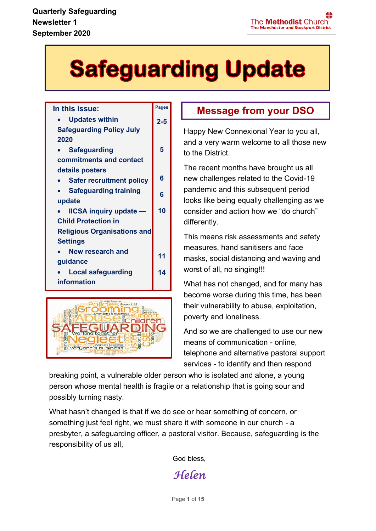# **Safeguarding Update**

**Pages**

#### **In this issue:**

• **Updates within Safeguarding Policy July 2020**  • **Safeguarding commitments and contact details posters** • **Safer recruitment policy** • **Safeguarding training update** • **IICSA inquiry update — Child Protection in Religious Organisations and Settings** • **New research and guidance** • **Local safeguarding information 2-5 5 6 6 10 11 14**



### **Message from your DSO**

Happy New Connexional Year to you all, and a very warm welcome to all those new to the District.

The recent months have brought us all new challenges related to the Covid-19 pandemic and this subsequent period looks like being equally challenging as we consider and action how we "do church" differently.

This means risk assessments and safety measures, hand sanitisers and face masks, social distancing and waving and worst of all, no singing!!!

What has not changed, and for many has become worse during this time, has been their vulnerability to abuse, exploitation, poverty and loneliness.

And so we are challenged to use our new means of communication - online, telephone and alternative pastoral support services - to identify and then respond

breaking point, a vulnerable older person who is isolated and alone, a young person whose mental health is fragile or a relationship that is going sour and possibly turning nasty.

What hasn't changed is that if we do see or hear something of concern, or something just feel right, we must share it with someone in our church - a presbyter, a safeguarding officer, a pastoral visitor. Because, safeguarding is the responsibility of us all,

God bless,

*Helen*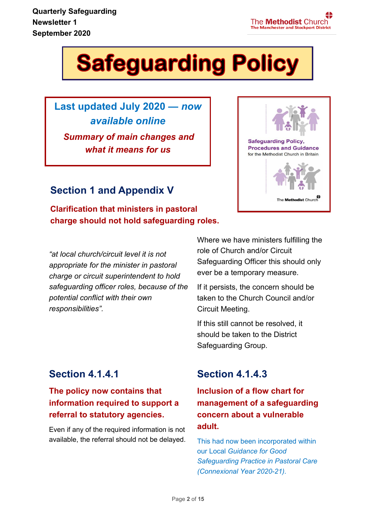**Newsletter 1 Quarterly Safeguarding September 2020**



**Last updated July 2020 —** *now available online Summary of main changes and what it means for us*

#### **Section 1 and Appendix V**

**Clarification that ministers in pastoral charge should not hold safeguarding roles.**

*"at local church/circuit level it is not appropriate for the minister in pastoral charge or circuit superintendent to hold safeguarding officer roles, because of the potential conflict with their own responsibilities".*

Where we have ministers fulfilling the role of Church and/or Circuit Safeguarding Officer this should only ever be a temporary measure.

If it persists, the concern should be taken to the Church Council and/or Circuit Meeting.

If this still cannot be resolved, it should be taken to the District Safeguarding Group.

#### **Section 4.1.4.1**

#### **The policy now contains that information required to support a referral to statutory agencies.**

Even if any of the required information is not available, the referral should not be delayed.

### **Section 4.1.4.3**

**Inclusion of a flow chart for management of a safeguarding concern about a vulnerable adult.**

This had now been incorporated within our Local *Guidance for Good Safeguarding Practice in Pastoral Care (Connexional Year 2020-21).*



The Methodist Church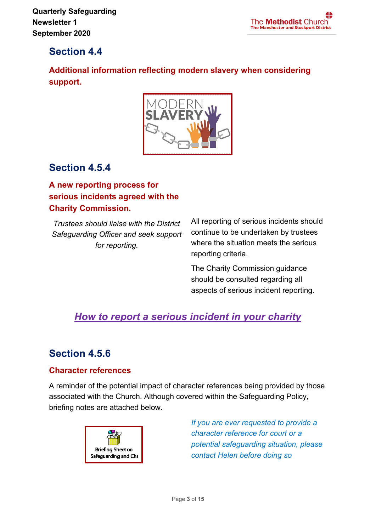#### **Section 4.4**

**Additional information reflecting modern slavery when considering support.**



#### **Section 4.5.4**

**A new reporting process for serious incidents agreed with the Charity Commission.**

*Trustees should liaise with the District Safeguarding Officer and seek support for reporting.*

All reporting of serious incidents should continue to be undertaken by trustees where the situation meets the serious reporting criteria.

The Charity Commission guidance should be consulted regarding all aspects of serious incident reporting.

## *[How to report a serious incident in your charity](https://www.gov.uk/guidance/how-to-report-a-serious-incident-in-your-charity)*

### **Section 4.5.6**

#### **Character references**

A reminder of the potential impact of character references being provided by those associated with the Church. Although covered within the Safeguarding Policy, briefing notes are attached below.



*If you are ever requested to provide a character reference for court or a potential safeguarding situation, please contact Helen before doing so*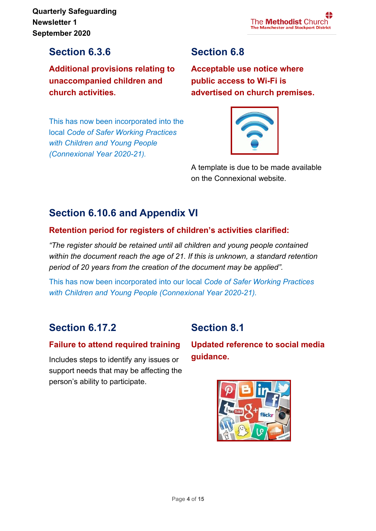**Newsletter 1 Quarterly Safeguarding September 2020**

#### **Section 6.3.6**

**Additional provisions relating to unaccompanied children and church activities.**

This has now been incorporated into the local *Code of Safer Working Practices with Children and Young People (Connexional Year 2020-21).*

### **Section 6.8**

**Acceptable use notice where public access to Wi-Fi is advertised on church premises.**



A template is due to be made available on the Connexional website.

### **Section 6.10.6 and Appendix VI**

#### **Retention period for registers of children's activities clarified:**

*"The register should be retained until all children and young people contained within the document reach the age of 21. If this is unknown, a standard retention period of 20 years from the creation of the document may be applied".*

This has now been incorporated into our local *Code of Safer Working Practices with Children and Young People (Connexional Year 2020-21).*

#### **Section 6.17.2**

#### **Failure to attend required training**

Includes steps to identify any issues or support needs that may be affecting the person's ability to participate.

#### **Section 8.1**

**Updated reference to social media guidance.**

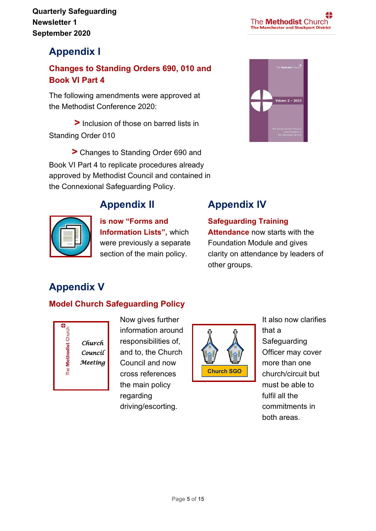## **Appendix I**

#### **Changes to Standing Orders 690, 010 and Book VI Part 4**

The following amendments were approved at the Methodist Conference 2020:

 **>** Inclusion of those on barred lists in Standing Order 010

**>** Changes to Standing Order 690 and Book VI Part 4 to replicate procedures already approved by Methodist Council and contained in the Connexional Safeguarding Policy.



### **Appendix II**



#### **is now "Forms and Information Lists",** which were previously a separate section of the main policy.

## **Appendix IV**

**Safeguarding Training Attendance** now starts with the Foundation Module and gives clarity on attendance by leaders of other groups.

## **Appendix V**

#### **Model Church Safeguarding Policy**



Now gives further information around responsibilities of, and to, the Church Council and now cross references the main policy regarding driving/escorting.



It also now clarifies that a Safeguarding Officer may cover more than one church/circuit but must be able to fulfil all the commitments in both areas.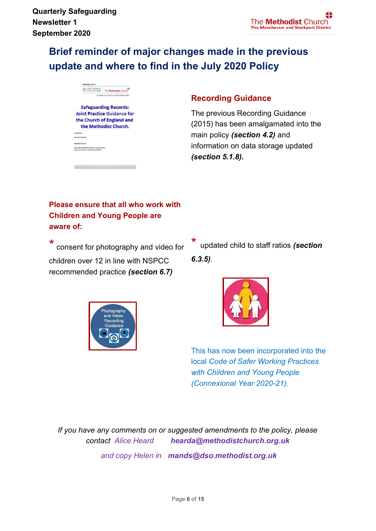## **Brief reminder of major changes made in the previous update and where to find in the July 2020 Policy**

THE CHURCH The Methodist Church **Safeguarding Records: Joint Practice Guidance for** the Church of England and the Methodist Church.

d by Methodist Church - January 2015

#### **Recording Guidance**

The previous Recording Guidance (2015) has been amalgamated into the main policy *(section 4.2)* and information on data storage updated *(section 5.1.8).*

#### **Please ensure that all who work with Children and Young People are aware of:**

\* consent for photography and video for children over 12 in line with NSPCC recommended practice *(section 6.7)*



\* updated child to staff ratios *(section 6.3.5)*.



This has now been incorporated into the local *Code of Safer Working Practices with Children and Young People (Connexional Year 2020-21).* 

*If you have any comments on or suggested amendments to the policy, please contact Alice Heard hearda@methodistchurch.org.uk and copy Helen in mands@dso.methodist.org.uk*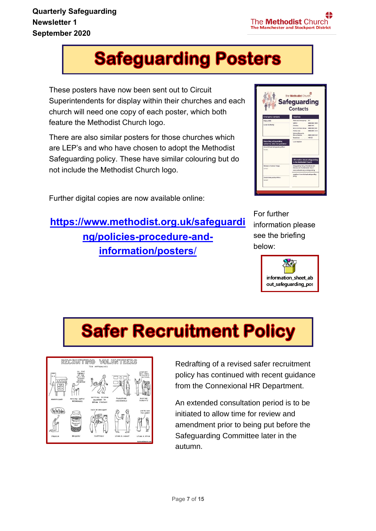## **Safeguarding Posters**

These posters have now been sent out to Circuit Superintendents for display within their churches and each church will need one copy of each poster, which both feature the Methodist Church logo.

There are also similar posters for those churches which are LEP's and who have chosen to adopt the Methodist Safeguarding policy. These have similar colouring but do not include the Methodist Church logo.

Further digital copies are now available online:

## **[https://www.methodist.org.uk/safeguardi](https://www.methodist.org.uk/safeguarding/policies-procedure-and-information/posters/) [ng/policies-procedure-and](https://www.methodist.org.uk/safeguarding/policies-procedure-and-information/posters/)[information/posters](https://www.methodist.org.uk/safeguarding/policies-procedure-and-information/posters/)**/



For further information please see the briefing below:



## **Safer Recruitment Policy**



Redrafting of a revised safer recruitment policy has continued with recent guidance from the Connexional HR Department.

An extended consultation period is to be initiated to allow time for review and amendment prior to being put before the Safeguarding Committee later in the autumn.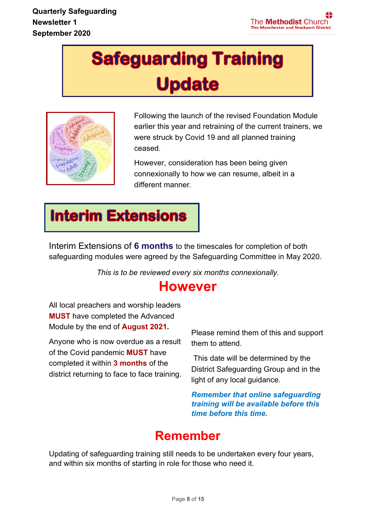## **Safeguarding Training Update**



Following the launch of the revised Foundation Module earlier this year and retraining of the current trainers, we were struck by Covid 19 and all planned training ceased.

However, consideration has been being given connexionally to how we can resume, albeit in a different manner*.*

## **Interim Extensions**

Interim Extensions of **6 months** to the timescales for completion of both safeguarding modules were agreed by the Safeguarding Committee in May 2020.

*This is to be reviewed every six months connexionally.*

## **However**

All local preachers and worship leaders **MUST** have completed the Advanced Module by the end of **August 2021.**

Anyone who is now overdue as a result of the Covid pandemic **MUST** have completed it within **3 months** of the district returning to face to face training.

Please remind them of this and support them to attend.

This date will be determined by the District Safeguarding Group and in the light of any local guidance.

*Remember that online safeguarding training will be available before this time before this time.*

## **Remember**

Updating of safeguarding training still needs to be undertaken every four years, and within six months of starting in role for those who need it.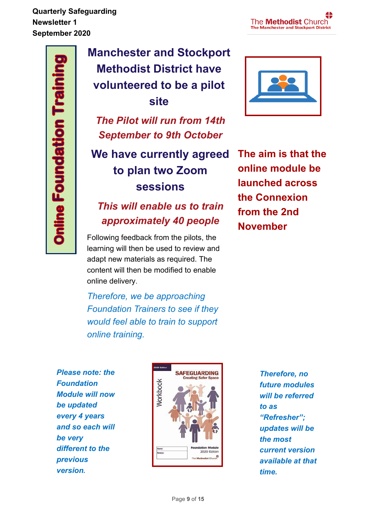## **Manchester and Stockport Methodist District have volunteered to be a pilot site**

*The Pilot will run from 14th September to 9th October*

## **We have currently agreed to plan two Zoom sessions**

## *This will enable us to train approximately 40 people*

Following feedback from the pilots, the learning will then be used to review and adapt new materials as required. The content will then be modified to enable online delivery.

*Therefore, we be approaching Foundation Trainers to see if they would feel able to train to support online training.*



**The aim is that the online module be launched across the Connexion from the 2nd November**

*Please note: the Foundation Module will now be updated every 4 years and so each will be very different to the previous version.* 



*Therefore, no future modules will be referred to as "Refresher"; updates will be the most current version available at that time.*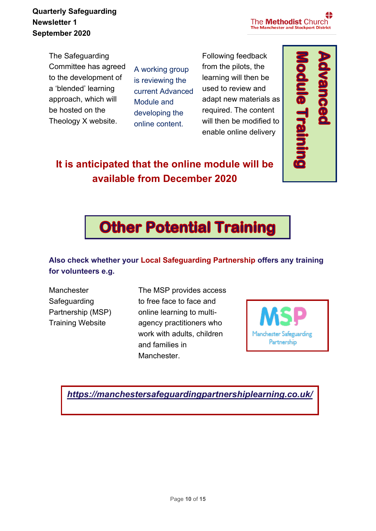**Newsletter 1 Quarterly Safeguarding September 2020**

The **Methodist** Church **The Manchester and Stockport District** 

The Safeguarding Committee has agreed to the development of a 'blended' learning approach, which will be hosted on the Theology X website.

A working group is reviewing the current Advanced Module and developing the online content.

Following feedback from the pilots, the learning will then be used to review and adapt new materials as required. The content will then be modified to enable online delivery



## **It is anticipated that the online module will be available from December 2020**



#### **Also check whether your Local Safeguarding Partnership offers any training for volunteers e.g.**

**Manchester Safeguarding** Partnership (MSP) Training Website

The MSP provides access to free face to face and online learning to multiagency practitioners who work with adults, children and families in Manchester.



*<https://manchestersafeguardingpartnershiplearning.co.uk/>*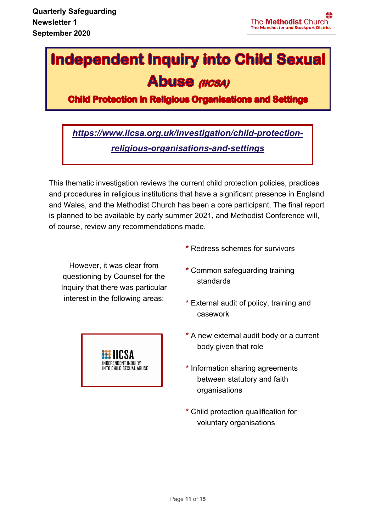## **Independent Inquiry into Child Sexual Abuse (IICSA)**

**Child Protection in Religious Organisations and Settings** 

*[https://www.iicsa.org.uk/investigation/child-protection](https://www.iicsa.org.uk/investigation/child-protection-religious-organisations-and-settings)[religious-organisations-and-settings](https://www.iicsa.org.uk/investigation/child-protection-religious-organisations-and-settings)*

This thematic investigation reviews the current child protection policies, practices and procedures in religious institutions that have a significant presence in England and Wales, and the Methodist Church has been a core participant. The final report is planned to be available by early summer 2021, and Methodist Conference will, of course, review any recommendations made.

However, it was clear from questioning by Counsel for the Inquiry that there was particular interest in the following areas:



- **\*** Redress schemes for survivors
- **\*** Common safeguarding training standards
- **\*** External audit of policy, training and casework
- **\*** A new external audit body or a current body given that role
- **\*** Information sharing agreements between statutory and faith organisations
- **\*** Child protection qualification for voluntary organisations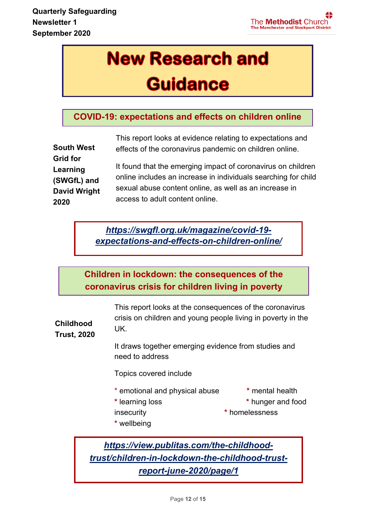## **New Research and**

## **Guidance**

#### **COVID-19: expectations and effects on children online**

|                     | This report looks at evidence relating to expectations and     |
|---------------------|----------------------------------------------------------------|
| <b>South West</b>   | effects of the coronavirus pandemic on children online.        |
| <b>Grid for</b>     |                                                                |
| Learning            | It found that the emerging impact of coronavirus on children   |
| (SWGfL) and         | online includes an increase in individuals searching for child |
| <b>David Wright</b> | sexual abuse content online, as well as an increase in         |
| 2020                | access to adult content online.                                |

*[https://swgfl.org.uk/magazine/covid-19](https://swgfl.org.uk/magazine/covid-19-expectations-and-effects-on-children-online/) [expectations-and-effects-on-children-online/](https://swgfl.org.uk/magazine/covid-19-expectations-and-effects-on-children-online/)*

**Children in lockdown: the consequences of the coronavirus crisis for children living in poverty**

**Childhood**  This report looks at the consequences of the coronavirus crisis on children and young people living in poverty in the UK.

**Trust, 2020** 

It draws together emerging evidence from studies and suggests that is suggested and concerns that government and the internal that government and the internal third  $\alpha$ 

sector organisations Topics covered include

- \* emotional and physical abuse **\*** mental health
	-
- 
- **\*** learning loss **\*** hunger and food
- insecurity **\*** homelessness
- **\*** wellbeing

*[https://view.publitas.com/the-childhood](https://view.publitas.com/the-childhood-trust/children-in-lockdown-the-childhood-trust-report-june-2020/page/1)[trust/children-in-lockdown-the-childhood-trust](https://view.publitas.com/the-childhood-trust/children-in-lockdown-the-childhood-trust-report-june-2020/page/1)[report-june-2020/page/1](https://view.publitas.com/the-childhood-trust/children-in-lockdown-the-childhood-trust-report-june-2020/page/1)*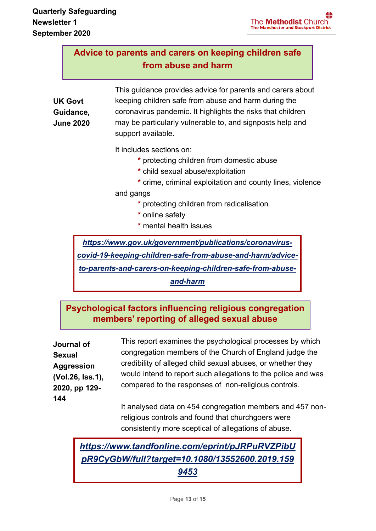#### **Advice to parents and carers on keeping children safe from abuse and harm**

**UK Govt Guidance, June 2020** This guidance provides advice for parents and carers about keeping children safe from abuse and harm during the coronavirus pandemic. It highlights the risks that children may be particularly vulnerable to, and signposts help and support available.

It includes sections on:

- **\*** protecting children from domestic abuse
- **\*** child sexual abuse/exploitation
- **\*** crime, criminal exploitation and county lines, violence

and gangs

- **\*** protecting children from radicalisation
- **\*** online safety
- **\*** mental health issues

*[https://www.gov.uk/government/publications/coronavirus-](https://www.gov.uk/government/publications/coronavirus-covid-19-keeping-children-safe-from-abuse-and-harm/advice-to-parents-and-carers-on-keeping-children-safe-from-abuse-and-harm)*

*[covid-19-keeping-children-safe-from-abuse-and-harm/advice-](https://www.gov.uk/government/publications/coronavirus-covid-19-keeping-children-safe-from-abuse-and-harm/advice-to-parents-and-carers-on-keeping-children-safe-from-abuse-and-harm)*

*[to-parents-and-carers-on-keeping-children-safe-from-abuse-](https://www.gov.uk/government/publications/coronavirus-covid-19-keeping-children-safe-from-abuse-and-harm/advice-to-parents-and-carers-on-keeping-children-safe-from-abuse-and-harm)*

*[and-harm](https://www.gov.uk/government/publications/coronavirus-covid-19-keeping-children-safe-from-abuse-and-harm/advice-to-parents-and-carers-on-keeping-children-safe-from-abuse-and-harm)*

#### **Psychological factors influencing religious congregation members' reporting of alleged sexual abuse**

**Journal of Sexual Aggression (Vol.26, Iss.1), 2020, pp 129- 144** 

This report examines the psychological processes by which congregation members of the Church of England judge the credibility of alleged child sexual abuses, or whether they would intend to report such allegations to the police and was compared to the responses of non-religious controls.

It analysed data on 454 congregation members and 457 nonreligious controls and found that churchgoers were consistently more sceptical of allegations of abuse.

*[https://www.tandfonline.com/eprint/pJRPuRVZPibU](https://www.tandfonline.com/eprint/pJRPuRVZPibUpR9CyGbW/full?target=10.1080/13552600.2019.1599453) [pR9CyGbW/full?target=10.1080/13552600.2019.159](https://www.tandfonline.com/eprint/pJRPuRVZPibUpR9CyGbW/full?target=10.1080/13552600.2019.1599453) [9453](https://www.tandfonline.com/eprint/pJRPuRVZPibUpR9CyGbW/full?target=10.1080/13552600.2019.1599453)*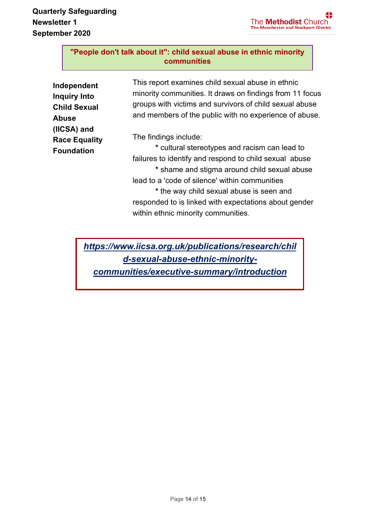#### **"People don't talk about it": child sexual abuse in ethnic minority communities**

| Independent<br><b>Inquiry Into</b><br><b>Child Sexual</b><br>Abuse | This report examines child sexual abuse in ethnic<br>minority communities. It draws on findings from 11 focus<br>groups with victims and survivors of child sexual abuse<br>and members of the public with no experience of abuse. |
|--------------------------------------------------------------------|------------------------------------------------------------------------------------------------------------------------------------------------------------------------------------------------------------------------------------|
| (IICSA) and<br><b>Race Equality</b><br>Foundation                  | The findings include:<br>* cultural stereotypes and racism can lead to<br>failures to identify and respond to child sexual abuse<br>* shame and stigma around child sexual abuse                                                   |
|                                                                    | lead to a 'code of silence' within communities<br>* the way child sexual abuse is seen and<br>responded to is linked with expectations about gender<br>within ethnic minority communities.                                         |

*[https://www.iicsa.org.uk/publications/research/chil](https://www.iicsa.org.uk/publications/research/child-sexual-abuse-ethnic-minority-communities/executive-summary/introduction) [d-sexual-abuse-ethnic-minority](https://www.iicsa.org.uk/publications/research/child-sexual-abuse-ethnic-minority-communities/executive-summary/introduction)[communities/executive-summary/introduction](https://www.iicsa.org.uk/publications/research/child-sexual-abuse-ethnic-minority-communities/executive-summary/introduction)*